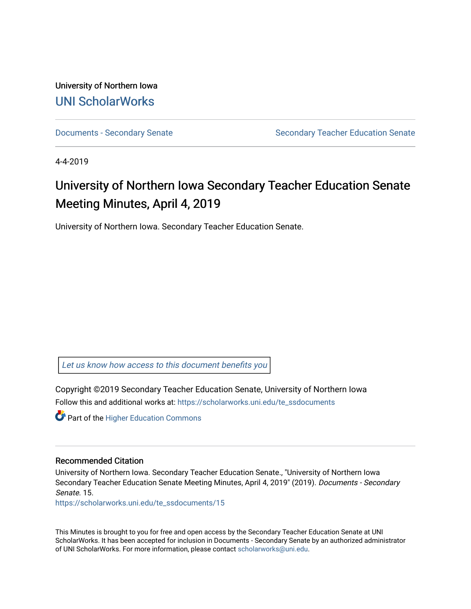University of Northern Iowa [UNI ScholarWorks](https://scholarworks.uni.edu/) 

[Documents - Secondary Senate](https://scholarworks.uni.edu/te_ssdocuments) Senate Secondary Teacher Education Senate

4-4-2019

# University of Northern Iowa Secondary Teacher Education Senate Meeting Minutes, April 4, 2019

University of Northern Iowa. Secondary Teacher Education Senate.

[Let us know how access to this document benefits you](https://scholarworks.uni.edu/feedback_form.html) 

Copyright ©2019 Secondary Teacher Education Senate, University of Northern Iowa Follow this and additional works at: [https://scholarworks.uni.edu/te\\_ssdocuments](https://scholarworks.uni.edu/te_ssdocuments?utm_source=scholarworks.uni.edu%2Fte_ssdocuments%2F15&utm_medium=PDF&utm_campaign=PDFCoverPages) 

**Part of the Higher Education Commons** 

#### Recommended Citation

University of Northern Iowa. Secondary Teacher Education Senate., "University of Northern Iowa Secondary Teacher Education Senate Meeting Minutes, April 4, 2019" (2019). Documents - Secondary Senate. 15.

[https://scholarworks.uni.edu/te\\_ssdocuments/15](https://scholarworks.uni.edu/te_ssdocuments/15?utm_source=scholarworks.uni.edu%2Fte_ssdocuments%2F15&utm_medium=PDF&utm_campaign=PDFCoverPages)

This Minutes is brought to you for free and open access by the Secondary Teacher Education Senate at UNI ScholarWorks. It has been accepted for inclusion in Documents - Secondary Senate by an authorized administrator of UNI ScholarWorks. For more information, please contact [scholarworks@uni.edu](mailto:scholarworks@uni.edu).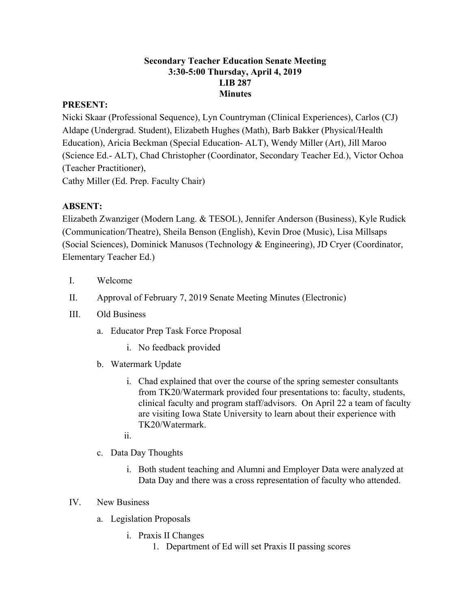#### **Secondary Teacher Education Senate Meeting 3:30-5:00 Thursday, April 4, 2019 LIB 287 Minutes**

## **PRESENT:**

Nicki Skaar (Professional Sequence), Lyn Countryman (Clinical Experiences), Carlos (CJ) Aldape (Undergrad. Student), Elizabeth Hughes (Math), Barb Bakker (Physical/Health Education), Aricia Beckman (Special Education- ALT), Wendy Miller (Art), Jill Maroo (Science Ed.- ALT), Chad Christopher (Coordinator, Secondary Teacher Ed.), Victor Ochoa (Teacher Practitioner),

Cathy Miller (Ed. Prep. Faculty Chair)

# **ABSENT:**

Elizabeth Zwanziger (Modern Lang. & TESOL), Jennifer Anderson (Business), Kyle Rudick (Communication/Theatre), Sheila Benson (English), Kevin Droe (Music), Lisa Millsaps (Social Sciences), Dominick Manusos (Technology & Engineering), JD Cryer (Coordinator, Elementary Teacher Ed.)

- I. Welcome
- II. Approval of February 7, 2019 Senate Meeting Minutes (Electronic)
- III. Old Business
	- a. Educator Prep Task Force Proposal
		- i. No feedback provided
	- b. Watermark Update
		- i. Chad explained that over the course of the spring semester consultants from TK20/Watermark provided four presentations to: faculty, students, clinical faculty and program staff/advisors. On April 22 a team of faculty are visiting Iowa State University to learn about their experience with TK20/Watermark.
		- ii.
	- c. Data Day Thoughts
		- i. Both student teaching and Alumni and Employer Data were analyzed at Data Day and there was a cross representation of faculty who attended.

### IV. New Business

- a. Legislation Proposals
	- i. Praxis II Changes
		- 1. Department of Ed will set Praxis II passing scores